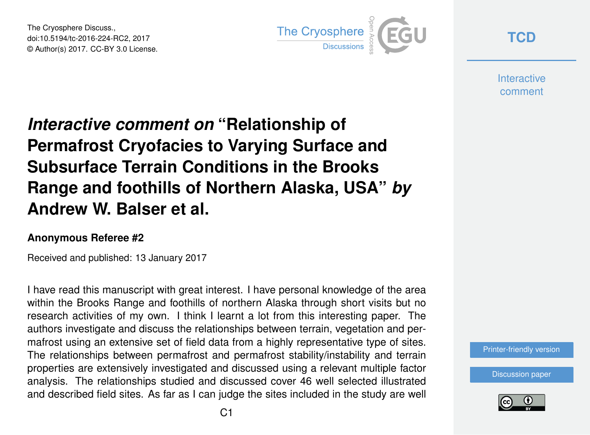The Cryosphere Discuss., doi:10.5194/tc-2016-224-RC2, 2017 © Author(s) 2017. CC-BY 3.0 License.



**[TCD](http://www.the-cryosphere-discuss.net/)**

**Interactive** comment

## *Interactive comment on* **"Relationship of Permafrost Cryofacies to Varying Surface and Subsurface Terrain Conditions in the Brooks Range and foothills of Northern Alaska, USA"** *by* **Andrew W. Balser et al.**

## **Anonymous Referee #2**

Received and published: 13 January 2017

I have read this manuscript with great interest. I have personal knowledge of the area within the Brooks Range and foothills of northern Alaska through short visits but no research activities of my own. I think I learnt a lot from this interesting paper. The authors investigate and discuss the relationships between terrain, vegetation and permafrost using an extensive set of field data from a highly representative type of sites. The relationships between permafrost and permafrost stability/instability and terrain properties are extensively investigated and discussed using a relevant multiple factor analysis. The relationships studied and discussed cover 46 well selected illustrated and described field sites. As far as I can judge the sites included in the study are well



[Discussion paper](http://www.the-cryosphere-discuss.net/tc-2016-224)

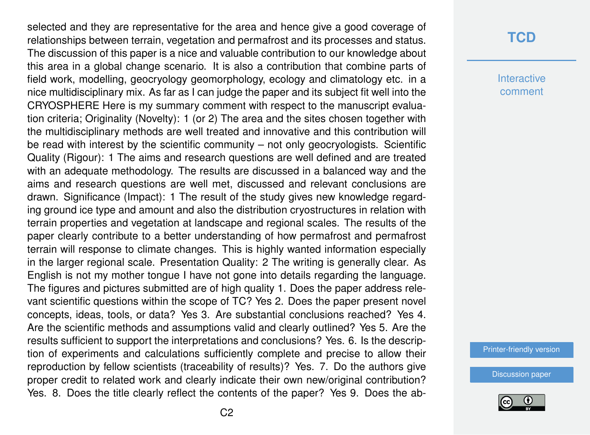selected and they are representative for the area and hence give a good coverage of relationships between terrain, vegetation and permafrost and its processes and status. The discussion of this paper is a nice and valuable contribution to our knowledge about this area in a global change scenario. It is also a contribution that combine parts of field work, modelling, geocryology geomorphology, ecology and climatology etc. in a nice multidisciplinary mix. As far as I can judge the paper and its subject fit well into the CRYOSPHERE Here is my summary comment with respect to the manuscript evaluation criteria; Originality (Novelty): 1 (or 2) The area and the sites chosen together with the multidisciplinary methods are well treated and innovative and this contribution will be read with interest by the scientific community – not only geocryologists. Scientific Quality (Rigour): 1 The aims and research questions are well defined and are treated with an adequate methodology. The results are discussed in a balanced way and the aims and research questions are well met, discussed and relevant conclusions are drawn. Significance (Impact): 1 The result of the study gives new knowledge regarding ground ice type and amount and also the distribution cryostructures in relation with terrain properties and vegetation at landscape and regional scales. The results of the paper clearly contribute to a better understanding of how permafrost and permafrost terrain will response to climate changes. This is highly wanted information especially in the larger regional scale. Presentation Quality: 2 The writing is generally clear. As English is not my mother tongue I have not gone into details regarding the language. The figures and pictures submitted are of high quality 1. Does the paper address relevant scientific questions within the scope of TC? Yes 2. Does the paper present novel concepts, ideas, tools, or data? Yes 3. Are substantial conclusions reached? Yes 4. Are the scientific methods and assumptions valid and clearly outlined? Yes 5. Are the results sufficient to support the interpretations and conclusions? Yes. 6. Is the description of experiments and calculations sufficiently complete and precise to allow their reproduction by fellow scientists (traceability of results)? Yes. 7. Do the authors give proper credit to related work and clearly indicate their own new/original contribution? Yes. 8. Does the title clearly reflect the contents of the paper? Yes 9. Does the ab-

**Interactive** comment

[Printer-friendly version](http://www.the-cryosphere-discuss.net/tc-2016-224/tc-2016-224-RC2-print.pdf)

[Discussion paper](http://www.the-cryosphere-discuss.net/tc-2016-224)